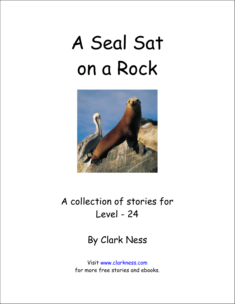# A Seal Sat on a Rock



## A collection of stories for Level - 24

#### By Clark Ness

Visit www.clarkness.com for more free stories and ebooks.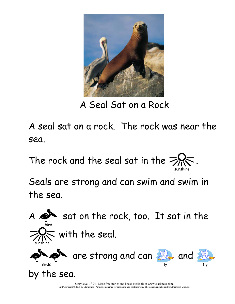

A Seal Sat on a Rock

A seal sat on a rock. The rock was near the sea.

The rock and the seal sat in the  $\geq$ sunshine and the contract of the contract of the contract of the contract of the contract of the contract of t

Seals are strong and can swim and swim in the sea.



Story level  $1<sup>st</sup> 24$ . More free stories and books available at www.clarkness.com. Text Copyright © 2008 by Clark Ness. Permission granted for reprinting and photocopying. Photograph and clip art from Microsoft Clip Art.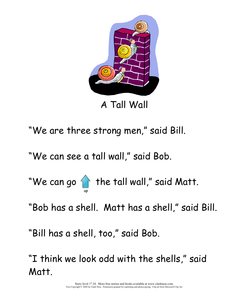

A Tall Wall

"We are three strong men," said Bill.

"We can see a tall wall," said Bob.

"We can go  $\bigcirc$  the tall wall," said Matt.

"Bob has a shell. Matt has a shell," said Bill.

"Bill has a shell, too," said Bob.

up and the contract of the contract of the contract of the contract of the contract of the contract of the con

"I think we look odd with the shells," said Matt.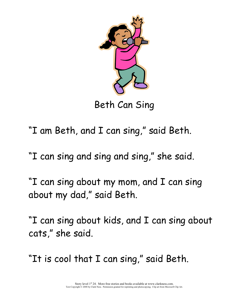

Beth Can Sing

"I am Beth, and I can sing," said Beth.

"I can sing and sing and sing," she said.

"I can sing about my mom, and I can sing about my dad," said Beth.

"I can sing about kids, and I can sing about cats," she said.

"It is cool that I can sing," said Beth.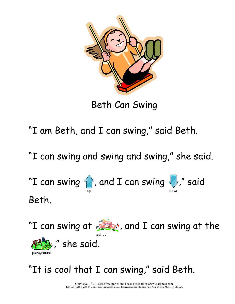

Beth Can Swing

"I am Beth, and I can swing," said Beth.

"I can swing and swing and swing," she said.

"I can swing  $\{\}$  , and I can swing  $\{\}$ ," said up the contract of the contract of the contract of the contract of the contract of the contract of the contract of the contract of the contract of the contract of the contract of the contract of the contract of the contrac Beth.



### "It is cool that I can swing," said Beth.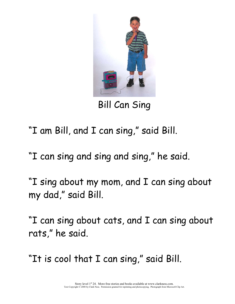

Bill Can Sing

- "I am Bill, and I can sing," said Bill.
- "I can sing and sing and sing," he said.
- "I sing about my mom, and I can sing about my dad," said Bill.
- "I can sing about cats, and I can sing about rats," he said.
- "It is cool that I can sing," said Bill.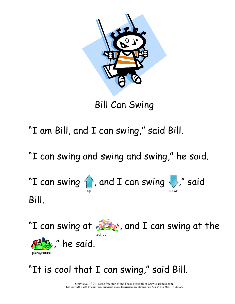

Bill Can Swing

"I am Bill, and I can swing," said Bill.

"I can swing and swing and swing," he said.

"I can swing  $\bigcirc$ , and I can swing  $\bigcirc$ ," said up the contract of the contract of the contract of the contract of the contract of the contract of the contract of the contract of the contract of the contract of the contract of the contract of the contract of the contrac Bill.



## "It is cool that I can swing," said Bill.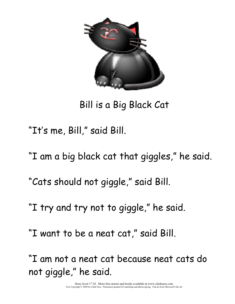

Bill is a Big Black Cat

"It's me, Bill," said Bill.

"I am a big black cat that giggles," he said.

"Cats should not giggle," said Bill.

"I try and try not to giggle," he said.

"I want to be a neat cat," said Bill.

"I am not a neat cat because neat cats do not giggle," he said.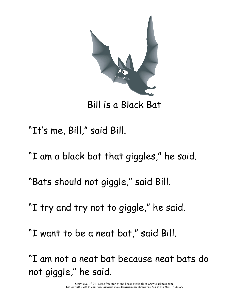

Bill is a Black Bat

"It's me, Bill," said Bill.

"I am a black bat that giggles," he said.

"Bats should not giggle," said Bill.

"I try and try not to giggle," he said.

"I want to be a neat bat," said Bill.

"I am not a neat bat because neat bats do not giggle," he said.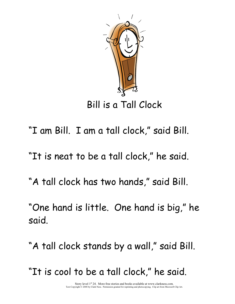

Bill is a Tall Clock

- "I am Bill. I am a tall clock," said Bill.
- "It is neat to be a tall clock," he said.
- "A tall clock has two hands," said Bill.
- "One hand is little. One hand is big," he said.
- "A tall clock stands by a wall," said Bill.
- "It is cool to be a tall clock," he said.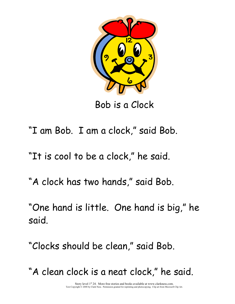

Bob is a Clock

- "I am Bob. I am a clock," said Bob.
- "It is cool to be a clock," he said.
- "A clock has two hands," said Bob.
- "One hand is little. One hand is big," he said.
- "Clocks should be clean," said Bob.
- "A clean clock is a neat clock," he said.